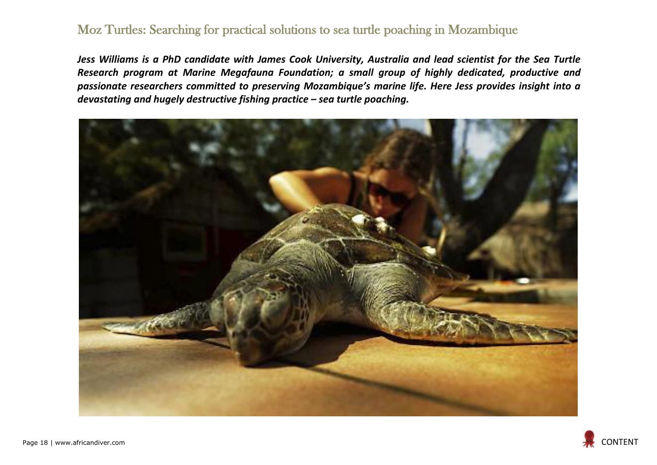## Moz Turtles: Searching for practical solutions to sea turtle poaching in Mozambique

*Jess Williams is a PhD candidate with James Cook University, Australia and lead scientist for the Sea Turtle Research program at Marine Megafauna Foundation; a small group of highly dedicated, productive and passionate researchers committed to preserving Mozambique's marine life. Here Jess provides insight into a devastating and hugely destructive fishing practice – sea turtle poaching.*



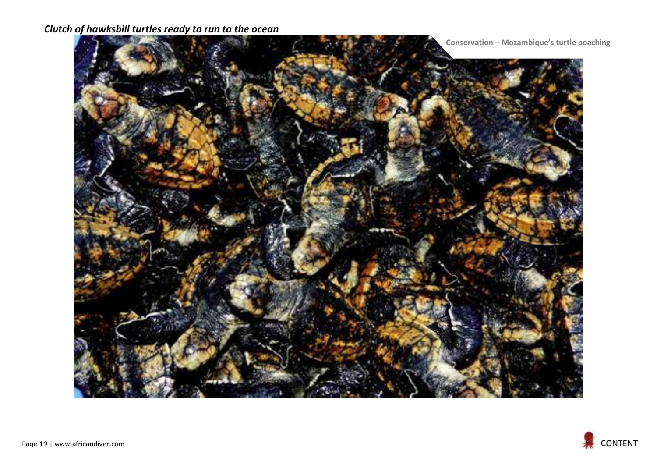## *Clutch of hawksbill turtles ready to run to the ocean*



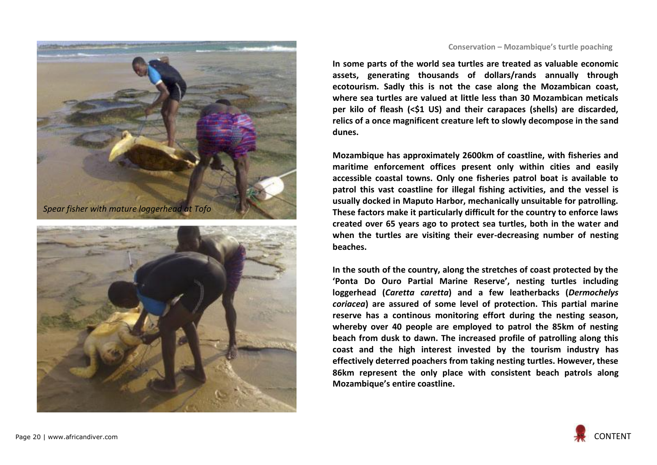



## **Conservation – Mozambique's turtle poaching**

**In some parts of the world sea turtles are treated as valuable economic assets, generating thousands of dollars/rands annually through ecotourism. Sadly this is not the case along the Mozambican coast, where sea turtles are valued at little less than 30 Mozambican meticals per kilo of fleash (<\$1 US) and their carapaces (shells) are discarded, relics of a once magnificent creature left to slowly decompose in the sand dunes.**

**Mozambique has approximately 2600km of coastline, with fisheries and maritime enforcement offices present only within cities and easily accessible coastal towns. Only one fisheries patrol boat is available to patrol this vast coastline for illegal fishing activities, and the vessel is usually docked in Maputo Harbor, mechanically unsuitable for patrolling. These factors make it particularly difficult for the country to enforce laws created over 65 years ago to protect sea turtles, both in the water and when the turtles are visiting their ever-decreasing number of nesting beaches.**

**In the south of the country, along the stretches of coast protected by the 'Ponta Do Ouro Partial Marine Reserve', nesting turtles including loggerhead (***Caretta caretta***) and a few leatherbacks (***Dermochelys coriacea***) are assured of some level of protection. This partial marine reserve has a continous monitoring effort during the nesting season, whereby over 40 people are employed to patrol the 85km of nesting beach from dusk to dawn. The increased profile of patrolling along this coast and the high interest invested by the tourism industry has effectively deterred poachers from taking nesting turtles. However, these 86km represent the only place with consistent beach patrols along Mozambique's entire coastline.**

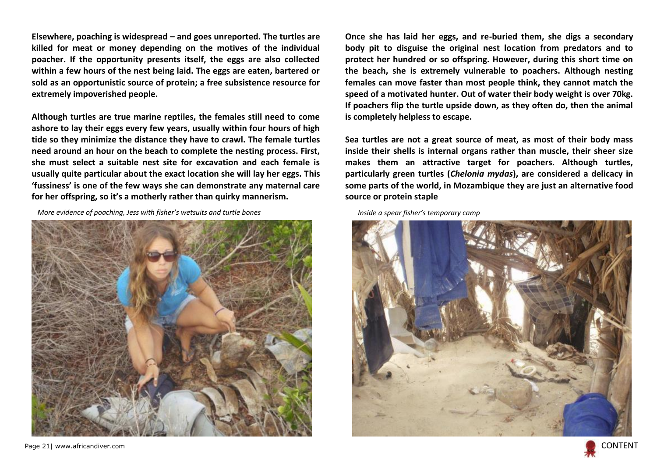**Elsewhere, poaching is widespread – and goes unreported. The turtles are killed for meat or money depending on the motives of the individual poacher. If the opportunity presents itself, the eggs are also collected within a few hours of the nest being laid. The eggs are eaten, bartered or sold as an opportunistic source of protein; a free subsistence resource for extremely impoverished people.**

**Although turtles are true marine reptiles, the females still need to come ashore to lay their eggs every few years, usually within four hours of high tide so they minimize the distance they have to crawl. The female turtles need around an hour on the beach to complete the nesting process. First, she must select a suitable nest site for excavation and each female is usually quite particular about the exact location she will lay her eggs. This 'fussiness' is one of the few ways she can demonstrate any maternal care for her offspring, so it's a motherly rather than quirky mannerism.**

*More evidence of poaching, Jess with fisher's wetsuits and turtle bones Inside a spear fisher's temporary camp*



**Once she has laid her eggs, and re-buried them, she digs a secondary body pit to disguise the original nest location from predators and to protect her hundred or so offspring. However, during this short time on the beach, she is extremely vulnerable to poachers. Although nesting females can move faster than most people think, they cannot match the speed of a motivated hunter. Out of water their body weight is over 70kg. If poachers flip the turtle upside down, as they often do, then the animal is completely helpless to escape.**

**Sea turtles are not a great source of meat, as most of their body mass inside their shells is internal organs rather than muscle, their sheer size makes them an attractive target for poachers. Although turtles, particularly green turtles (***Chelonia mydas***), are considered a delicacy in some parts of the world, in Mozambique they are just an alternative food source or protein staple**



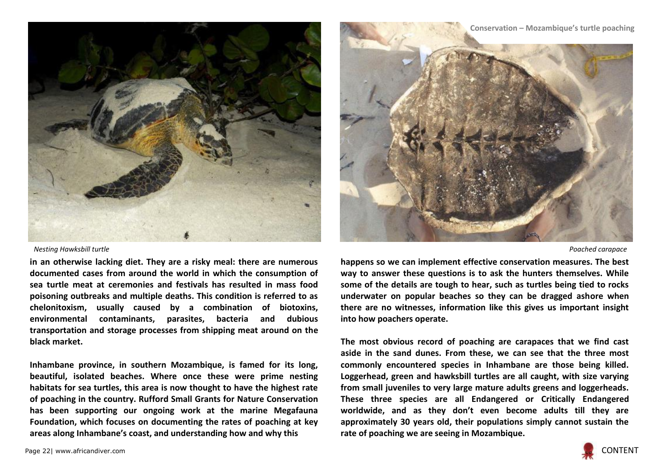

## *Nesting Hawksbill turtle Poached carapace*

**in an otherwise lacking diet. They are a risky meal: there are numerous documented cases from around the world in which the consumption of sea turtle meat at ceremonies and festivals has resulted in mass food poisoning outbreaks and multiple deaths. This condition is referred to as chelonitoxism, usually caused by a combination of biotoxins, environmental contaminants, parasites, bacteria and dubious transportation and storage processes from shipping meat around on the black market.**

**Inhambane province, in southern Mozambique, is famed for its long, beautiful, isolated beaches. Where once these were prime nesting habitats for sea turtles, this area is now thought to have the highest rate of poaching in the country. Rufford Small Grants for Nature Conservation has been supporting our ongoing work at the marine Megafauna Foundation, which focuses on documenting the rates of poaching at key areas along Inhambane's coast, and understanding how and why this** 



**happens so we can implement effective conservation measures. The best way to answer these questions is to ask the hunters themselves. While some of the details are tough to hear, such as turtles being tied to rocks underwater on popular beaches so they can be dragged ashore when there are no witnesses, information like this gives us important insight into how poachers operate.**

**The most obvious record of poaching are carapaces that we find cast aside in the sand dunes. From these, we can see that the three most commonly encountered species in Inhambane are those being killed. Loggerhead, green and hawksbill turtles are all caught, with size varying from small juveniles to very large mature adults greens and loggerheads. These three species are all Endangered or Critically Endangered worldwide, and as they don't even become adults till they are approximately 30 years old, their populations simply cannot sustain the rate of poaching we are seeing in Mozambique.**

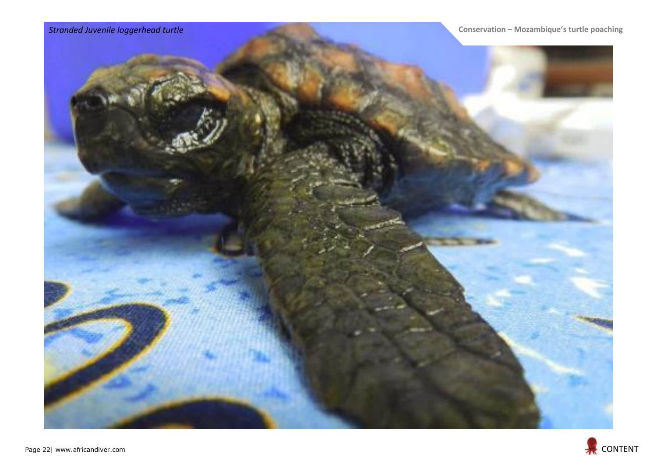

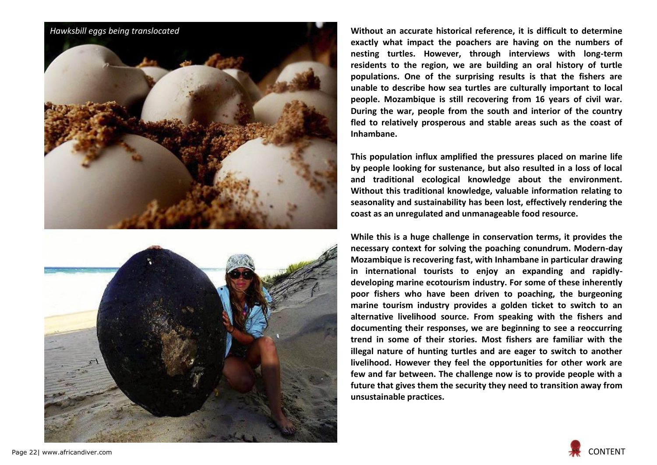

**Without an accurate historical reference, it is difficult to determine exactly what impact the poachers are having on the numbers of nesting turtles. However, through interviews with long-term residents to the region, we are building an oral history of turtle populations. One of the surprising results is that the fishers are unable to describe how sea turtles are culturally important to local people. Mozambique is still recovering from 16 years of civil war. During the war, people from the south and interior of the country fled to relatively prosperous and stable areas such as the coast of Inhambane.**

**This population influx amplified the pressures placed on marine life by people looking for sustenance, but also resulted in a loss of local and traditional ecological knowledge about the environment. Without this traditional knowledge, valuable information relating to seasonality and sustainability has been lost, effectively rendering the coast as an unregulated and unmanageable food resource.**

**While this is a huge challenge in conservation terms, it provides the necessary context for solving the poaching conundrum. Modern-day Mozambique is recovering fast, with Inhambane in particular drawing in international tourists to enjoy an expanding and rapidlydeveloping marine ecotourism industry. For some of these inherently poor fishers who have been driven to poaching, the burgeoning marine tourism industry provides a golden ticket to switch to an alternative livelihood source. From speaking with the fishers and documenting their responses, we are beginning to see a reoccurring trend in some of their stories. Most fishers are familiar with the illegal nature of hunting turtles and are eager to switch to another livelihood. However they feel the opportunities for other work are few and far between. The challenge now is to provide people with a future that gives them the security they need to transition away from unsustainable practices.**